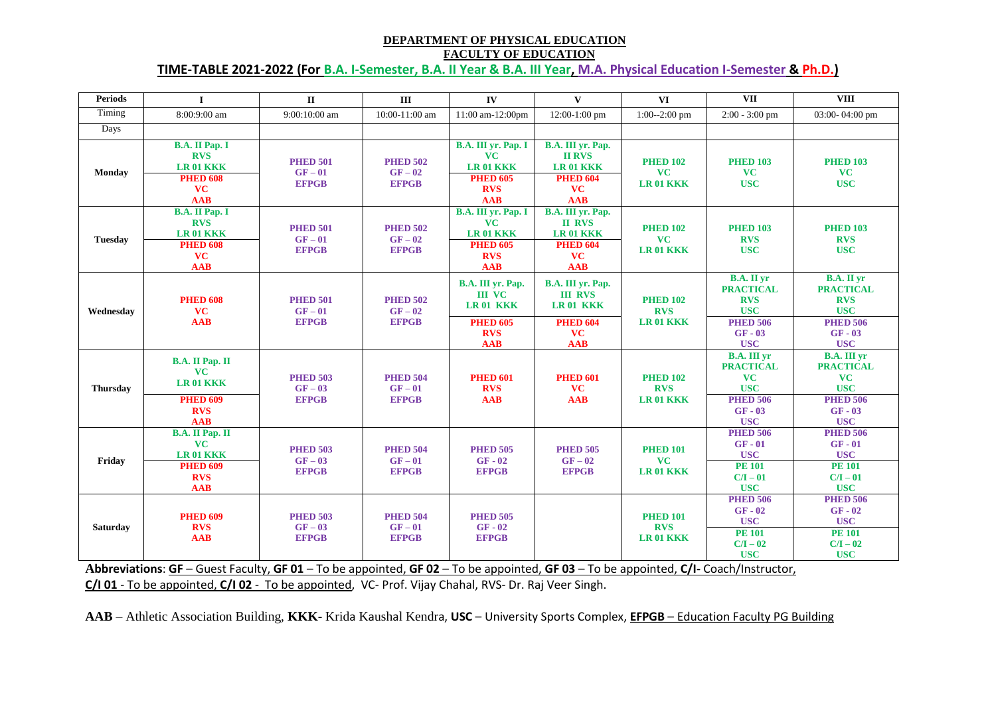### **DEPARTMENT OF PHYSICAL EDUCATION FACULTY OF EDUCATION**

**TIME-TABLE 2021-2022 (For B.A. I-Semester, B.A. II Year & B.A. III Year, M.A. Physical Education I-Semester & Ph.D.)**

| <b>Periods</b>            | $\mathbf{I}$                                                                                    | $\mathbf{I}$                                       | III                                                                                  | IV                                                                                                 | $\mathbf{V}$                                                                           | <b>VI</b>                                                                                                                   | <b>VII</b>                                                                                                                    | <b>VIII</b>                                                                                                                   |
|---------------------------|-------------------------------------------------------------------------------------------------|----------------------------------------------------|--------------------------------------------------------------------------------------|----------------------------------------------------------------------------------------------------|----------------------------------------------------------------------------------------|-----------------------------------------------------------------------------------------------------------------------------|-------------------------------------------------------------------------------------------------------------------------------|-------------------------------------------------------------------------------------------------------------------------------|
| Timing                    | 8:00:9:00 am                                                                                    | 9:00:10:00 am                                      | 10:00-11:00 am                                                                       | 11:00 am-12:00pm                                                                                   | 12:00-1:00 pm                                                                          | $1:00 - 2:00$ pm                                                                                                            | $2:00 - 3:00$ pm                                                                                                              | 03:00-04:00 pm                                                                                                                |
| Days                      |                                                                                                 |                                                    |                                                                                      |                                                                                                    |                                                                                        |                                                                                                                             |                                                                                                                               |                                                                                                                               |
| <b>Monday</b>             | <b>B.A. II Pap. I</b><br><b>RVS</b><br>LR 01 KKK<br><b>PHED 608</b><br><b>VC</b><br><b>AAB</b>  | <b>PHED 501</b><br>$GF-01$<br><b>EFPGB</b>         | <b>PHED 502</b><br>$GF-02$<br><b>EFPGB</b>                                           | B.A. III yr. Pap. I<br><b>VC</b><br>LR 01 KKK<br><b>PHED 605</b><br><b>RVS</b><br><b>AAB</b>       | B.A. III yr. Pap.<br><b>II RVS</b><br>LR 01 KKK<br><b>PHED 604</b><br>VC<br><b>AAB</b> | <b>PHED 102</b><br><b>VC</b><br><b>LR 01 KKK</b>                                                                            | <b>PHED 103</b><br><b>VC</b><br><b>USC</b>                                                                                    | <b>PHED 103</b><br>VC<br><b>USC</b>                                                                                           |
| <b>Tuesday</b>            | <b>B.A. II Pap. I</b><br><b>RVS</b><br>LR 01 KKK<br><b>PHED 608</b><br><b>VC</b><br><b>AAB</b>  | <b>PHED 501</b><br>$GF-01$<br><b>EFPGB</b>         | <b>PHED 502</b><br>$GF-02$<br><b>EFPGB</b>                                           | B.A. III yr. Pap. I<br><b>VC</b><br><b>LR01 KKK</b><br><b>PHED 605</b><br><b>RVS</b><br><b>AAB</b> | B.A. III yr. Pap.<br><b>II RVS</b><br>LR 01 KKK<br><b>PHED 604</b><br>VC<br><b>AAB</b> | <b>PHED 102</b><br><b>VC</b><br>LR 01 KKK                                                                                   | <b>PHED 103</b><br><b>RVS</b><br><b>USC</b>                                                                                   | <b>PHED 103</b><br><b>RVS</b><br><b>USC</b>                                                                                   |
| Wednesday                 | <b>PHED 608</b><br><b>VC</b><br><b>AAB</b>                                                      | <b>PHED 501</b><br>$GF-01$<br><b>EFPGB</b>         | <b>PHED 502</b><br>$GF-02$<br><b>EFPGB</b>                                           | <b>B.A. III vr. Pap.</b><br><b>III VC</b><br><b>LR01 KKK</b><br><b>PHED 605</b><br><b>RVS</b>      | B.A. III vr. Pap.<br><b>III RVS</b><br>LR 01 KKK<br><b>PHED 604</b><br>VC              | <b>PHED 102</b><br><b>RVS</b><br><b>LR 01 KKK</b>                                                                           | <b>B.A.</b> II yr<br><b>PRACTICAL</b><br><b>RVS</b><br><b>USC</b><br><b>PHED 506</b><br>$GF - 03$                             | <b>B.A.</b> II yr<br><b>PRACTICAL</b><br><b>RVS</b><br><b>USC</b><br><b>PHED 506</b><br>$GF - 03$                             |
| <b>Thursday</b>           | <b>B.A. II Pap. II</b><br><b>VC</b><br>LR 01 KKK<br><b>PHED 609</b><br><b>RVS</b><br><b>AAB</b> | <b>PHED 503</b><br>$GF-03$<br><b>EFPGB</b>         | <b>PHED 504</b><br>$GF-01$<br><b>EFPGB</b>                                           | <b>AAB</b><br><b>PHED 601</b><br><b>RVS</b><br><b>AAB</b>                                          | <b>AAB</b><br><b>PHED 601</b><br><b>VC</b><br><b>AAB</b>                               | <b>PHED 102</b><br><b>RVS</b><br><b>LR 01 KKK</b>                                                                           | <b>USC</b><br><b>B.A. III yr</b><br><b>PRACTICAL</b><br><b>VC</b><br><b>USC</b><br><b>PHED 506</b><br>$GF - 03$<br><b>USC</b> | <b>USC</b><br><b>B.A. III yr</b><br><b>PRACTICAL</b><br><b>VC</b><br><b>USC</b><br><b>PHED 506</b><br>$GF - 03$<br><b>USC</b> |
| Friday                    | <b>B.A. II Pap. II</b><br><b>VC</b><br>LR 01 KKK<br><b>PHED 609</b><br><b>RVS</b><br><b>AAB</b> | <b>PHED 503</b><br>$GF-03$<br><b>EFPGB</b>         | <b>PHED 504</b><br>$GF-01$<br><b>EFPGB</b>                                           | <b>PHED 505</b><br>$GF - 02$<br><b>EFPGB</b>                                                       | <b>PHED 505</b><br>$GF-02$<br><b>EFPGB</b>                                             | <b>PHED 101</b><br><b>VC</b><br><b>LR 01 KKK</b>                                                                            | <b>PHED 506</b><br>$GF - 01$<br><b>USC</b><br><b>PE 101</b><br>$C/I - 01$<br><b>USC</b>                                       | <b>PHED 506</b><br>$GF - 01$<br><b>USC</b><br><b>PE 101</b><br>$C/I - 01$<br><b>USC</b>                                       |
| <b>Saturday</b><br>.<br>. | <b>PHED 609</b><br><b>RVS</b><br><b>AAB</b>                                                     | <b>PHED 503</b><br>$GF-03$<br><b>EFPGB</b><br>$-1$ | <b>PHED 504</b><br>$GF-01$<br><b>EFPGB</b><br>$\mathbf{r}$ . The set of $\mathbf{r}$ | <b>PHED 505</b><br>$GF - 02$<br><b>EFPGB</b>                                                       | - -                                                                                    | <b>PHED 101</b><br><b>RVS</b><br>LR 01 KKK<br>$\mathbf{r}$ $\mathbf{r}$ $\mathbf{r}$ $\mathbf{r}$ $\mathbf{r}$ $\mathbf{r}$ | <b>PHED 506</b><br>$GF - 02$<br><b>USC</b><br><b>PE 101</b><br>$C/I - 02$<br><b>USC</b><br>$\mathbf{r}$                       | <b>PHED 506</b><br>$GF - 02$<br><b>USC</b><br><b>PE 101</b><br>$C/I - 02$<br><b>USC</b>                                       |

**Abbreviations**: **GF** – Guest Faculty, **GF 01** – To be appointed, **GF 02** – To be appointed, **GF 03** – To be appointed, **C/I-** Coach/Instructor, **C/I 01** - To be appointed, **C/I 02** - To be appointed, VC- Prof. Vijay Chahal, RVS- Dr. Raj Veer Singh.

**AAB** – Athletic Association Building, **KKK**- Krida Kaushal Kendra, **USC** – University Sports Complex, **EFPGB** – Education Faculty PG Building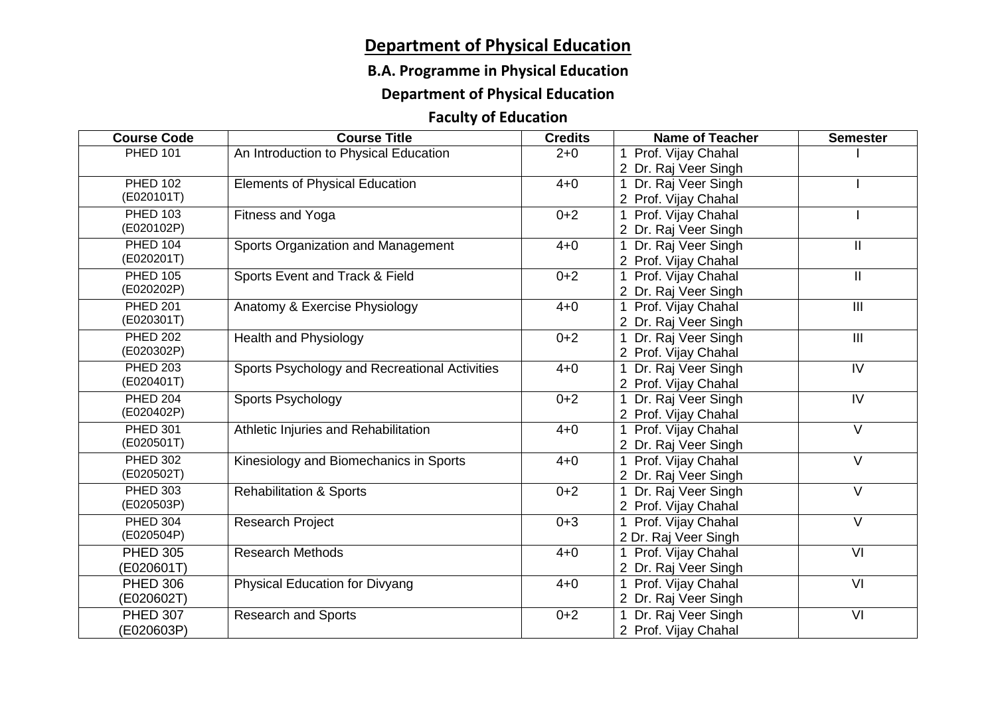# **Department of Physical Education**

## **B.A. Programme in Physical Education**

# **Department of Physical Education**

# **Faculty of Education**

| <b>Course Code</b> | <b>Course Title</b>                           | <b>Credits</b> | <b>Name of Teacher</b>            | <b>Semester</b>   |
|--------------------|-----------------------------------------------|----------------|-----------------------------------|-------------------|
| <b>PHED 101</b>    | An Introduction to Physical Education         | $2 + 0$        | 1 Prof. Vijay Chahal              |                   |
|                    |                                               |                | 2 Dr. Raj Veer Singh              |                   |
| <b>PHED 102</b>    | <b>Elements of Physical Education</b>         | $4 + 0$        | Dr. Raj Veer Singh                |                   |
| (E020101T)         |                                               |                | 2 Prof. Vijay Chahal              |                   |
| <b>PHED 103</b>    | Fitness and Yoga                              | $0 + 2$        | Prof. Vijay Chahal<br>1           |                   |
| (E020102P)         |                                               |                | 2 Dr. Raj Veer Singh              |                   |
| <b>PHED 104</b>    | Sports Organization and Management            | $4 + 0$        | Dr. Raj Veer Singh                | $\mathbf{II}$     |
| (E020201T)         |                                               |                | 2 Prof. Vijay Chahal              |                   |
| <b>PHED 105</b>    | Sports Event and Track & Field                | $0+2$          | 1 Prof. Vijay Chahal              | $\mathbf{H}$      |
| (E020202P)         |                                               |                | 2 Dr. Raj Veer Singh              |                   |
| <b>PHED 201</b>    | Anatomy & Exercise Physiology                 | $4 + 0$        | Prof. Vijay Chahal                | $\mathbf{III}$    |
| (E020301T)         |                                               |                | 2 Dr. Raj Veer Singh              |                   |
| <b>PHED 202</b>    | <b>Health and Physiology</b>                  | $0 + 2$        | Dr. Raj Veer Singh<br>1           | III               |
| (E020302P)         |                                               |                | 2 Prof. Vijay Chahal              |                   |
| <b>PHED 203</b>    | Sports Psychology and Recreational Activities | $4 + 0$        | Dr. Raj Veer Singh                | IV                |
| (E020401T)         |                                               |                | 2 Prof. Vijay Chahal              |                   |
| <b>PHED 204</b>    | Sports Psychology                             | $0+2$          | Dr. Raj Veer Singh<br>$\mathbf 1$ | IV                |
| (E020402P)         |                                               |                | 2 Prof. Vijay Chahal              |                   |
| <b>PHED 301</b>    | Athletic Injuries and Rehabilitation          | $4 + 0$        | 1 Prof. Vijay Chahal              | $\overline{\vee}$ |
| (E020501T)         |                                               |                | 2 Dr. Raj Veer Singh              |                   |
| <b>PHED 302</b>    | Kinesiology and Biomechanics in Sports        | $4 + 0$        | Prof. Vijay Chahal<br>$\mathbf 1$ | $\vee$            |
| (E020502T)         |                                               |                | 2 Dr. Raj Veer Singh              |                   |
| <b>PHED 303</b>    | <b>Rehabilitation &amp; Sports</b>            | $0 + 2$        | Dr. Raj Veer Singh                | $\overline{\vee}$ |
| (E020503P)         |                                               |                | 2 Prof. Vijay Chahal              |                   |
| <b>PHED 304</b>    | <b>Research Project</b>                       | $0 + 3$        | 1 Prof. Vijay Chahal              | $\vee$            |
| (E020504P)         |                                               |                | 2 Dr. Raj Veer Singh              |                   |
| <b>PHED 305</b>    | <b>Research Methods</b>                       | $4 + 0$        | 1 Prof. Vijay Chahal              | VI                |
| (E020601T)         |                                               |                | 2 Dr. Raj Veer Singh              |                   |
| <b>PHED 306</b>    | <b>Physical Education for Divyang</b>         | $4 + 0$        | Prof. Vijay Chahal<br>1           | $\overline{V}$    |
| (E020602T)         |                                               |                | 2 Dr. Raj Veer Singh              |                   |
| <b>PHED 307</b>    | <b>Research and Sports</b>                    | $0 + 2$        | Dr. Raj Veer Singh                | VI                |
| (E020603P)         |                                               |                | 2 Prof. Vijay Chahal              |                   |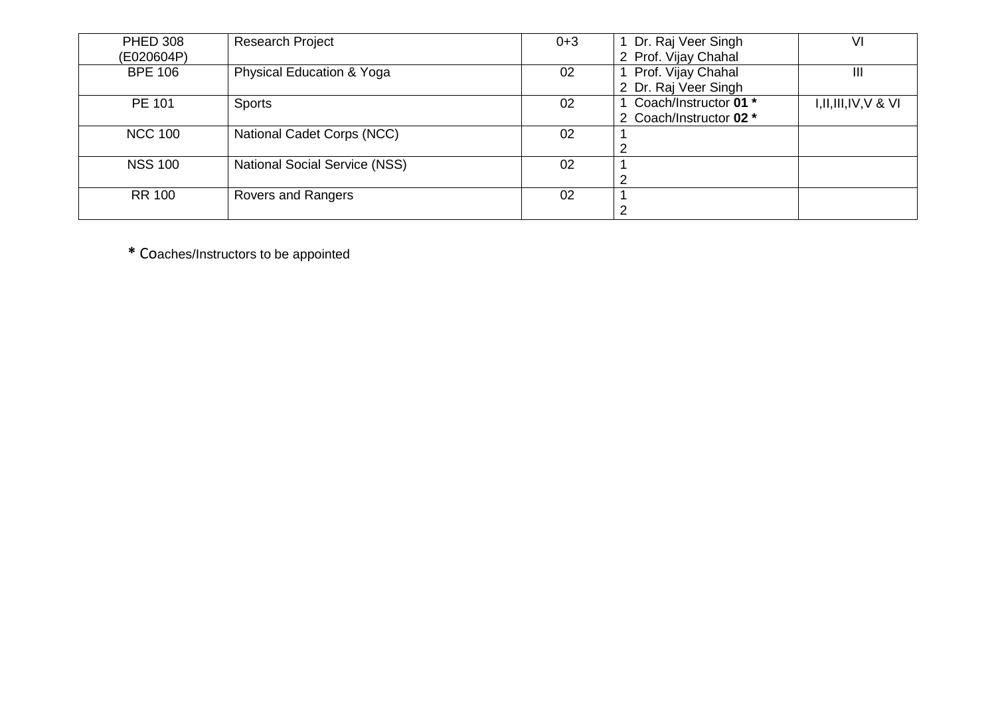| <b>PHED 308</b> | <b>Research Project</b>              | $0 + 3$ | Dr. Raj Veer Singh      | VI                       |
|-----------------|--------------------------------------|---------|-------------------------|--------------------------|
| (E020604P)      |                                      |         | 2 Prof. Vijay Chahal    |                          |
| <b>BPE 106</b>  | <b>Physical Education &amp; Yoga</b> | 02      | Prof. Vijay Chahal      | III                      |
|                 |                                      |         | 2 Dr. Raj Veer Singh    |                          |
| PE 101          | <b>Sports</b>                        | 02      | Coach/Instructor 01 *   | $I, II, III, IV, V$ & VI |
|                 |                                      |         | 2 Coach/Instructor 02 * |                          |
| <b>NCC 100</b>  | National Cadet Corps (NCC)           | 02      |                         |                          |
|                 |                                      |         | 2                       |                          |
| <b>NSS 100</b>  | <b>National Social Service (NSS)</b> | 02      |                         |                          |
|                 |                                      |         | 2                       |                          |
| <b>RR 100</b>   | Rovers and Rangers                   | 02      |                         |                          |
|                 |                                      |         | 2                       |                          |

**\*** Co aches/Instructor s to be appointed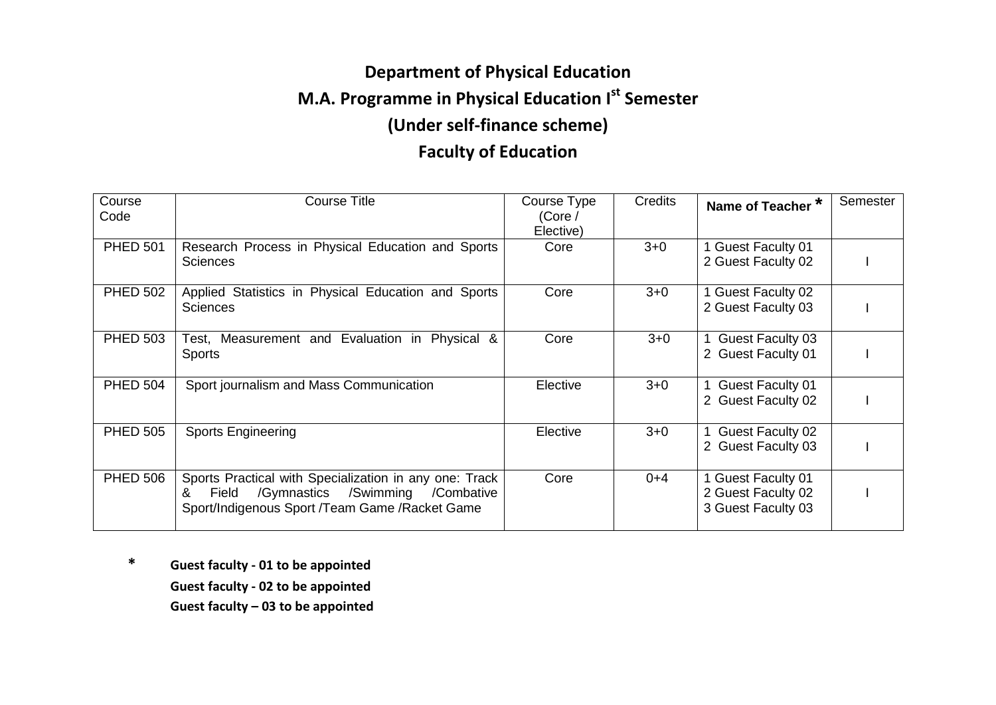# **Department of Physical Education M.A. Programme in Physical Education Ist Semester (Under self-finance scheme) Faculty of Education**

#### **Course** Code Course Title Course Type (Core / Elective) Credits **Name of Teacher \* Semester** PHED 501 Research Process in Physical Education and Sports **Sciences** Core 3+0 1 Guest Faculty 01 2 Guest Faculty 02 | | PHED 502 Applied Statistics in Physical Education and Sports **Sciences** Core 3+0 1 Guest Faculty 02 2 Guest Faculty 03 | PHED 503 | Test, Measurement and Evaluation in Physical & Sports Core 3+0 1 Guest Faculty 03 2 Guest Faculty 01 | | PHED 504 Sport journalism and Mass Communication Flective 1 3+0 1 Guest Faculty 01 2 Guest Faculty 02 | | PHED 505 Sports Engineering **Elective 1 State Section** 3+0 1 Guest Faculty 02 2 Guest Faculty 03 | PHED 506 Sports Practical with Specialization in any one: Track & Field /Gymnastics /Swimming /Combative Sport/Indigenous Sport /Team Game /Racket Game Core  $0+4$  1 Guest Faculty 01 2 Guest Faculty 02 3 Guest Faculty 03 I

**\* Guest faculty - 01 to be appointed Guest faculty - 02 to be appointed Guest faculty – 03 to be appointed**